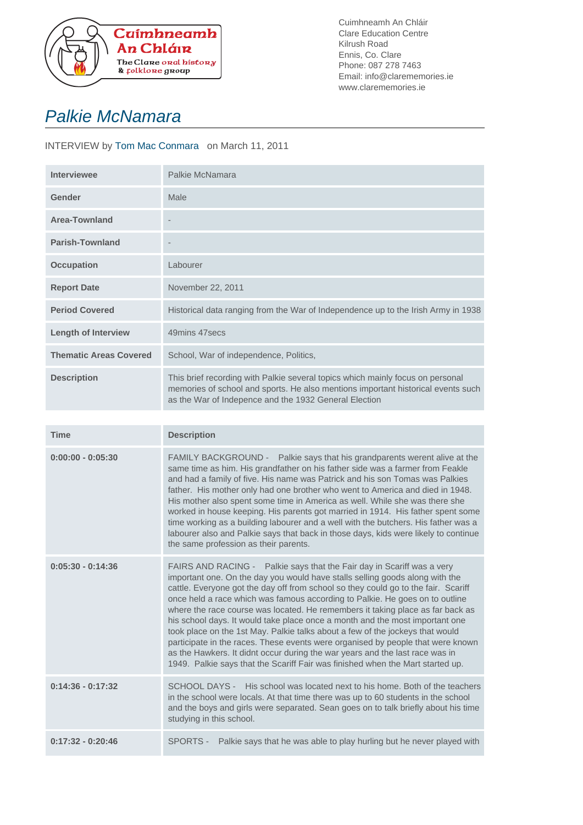

Cuimhneamh An Chláir Clare Education Centre Kilrush Road Ennis, Co. Clare Phone: 087 278 7463 Email: info@clarememories.ie www.clarememories.ie

## Palkie McNamara

## INTERVIEW by Tom Mac Conmara on March 11, 2011

| <b>Interviewee</b>            | Palkie McNamara                                                                                                                                                                                                             |
|-------------------------------|-----------------------------------------------------------------------------------------------------------------------------------------------------------------------------------------------------------------------------|
| Gender                        | Male                                                                                                                                                                                                                        |
| <b>Area-Townland</b>          |                                                                                                                                                                                                                             |
| <b>Parish-Townland</b>        |                                                                                                                                                                                                                             |
| <b>Occupation</b>             | Labourer                                                                                                                                                                                                                    |
| <b>Report Date</b>            | November 22, 2011                                                                                                                                                                                                           |
| <b>Period Covered</b>         | Historical data ranging from the War of Independence up to the Irish Army in 1938                                                                                                                                           |
| <b>Length of Interview</b>    | 49mins 47 secs                                                                                                                                                                                                              |
| <b>Thematic Areas Covered</b> | School, War of independence, Politics,                                                                                                                                                                                      |
| <b>Description</b>            | This brief recording with Palkie several topics which mainly focus on personal<br>memories of school and sports. He also mentions important historical events such<br>as the War of Indepence and the 1932 General Election |

| <b>Time</b>         | <b>Description</b>                                                                                                                                                                                                                                                                                                                                                                                                                                                                                                                                                                                                                                                                                                                                                                                                                   |
|---------------------|--------------------------------------------------------------------------------------------------------------------------------------------------------------------------------------------------------------------------------------------------------------------------------------------------------------------------------------------------------------------------------------------------------------------------------------------------------------------------------------------------------------------------------------------------------------------------------------------------------------------------------------------------------------------------------------------------------------------------------------------------------------------------------------------------------------------------------------|
| $0:00:00 - 0:05:30$ | FAMILY BACKGROUND - Palkie says that his grandparents werent alive at the<br>same time as him. His grandfather on his father side was a farmer from Feakle<br>and had a family of five. His name was Patrick and his son Tomas was Palkies<br>father. His mother only had one brother who went to America and died in 1948.<br>His mother also spent some time in America as well. While she was there she<br>worked in house keeping. His parents got married in 1914. His father spent some<br>time working as a building labourer and a well with the butchers. His father was a<br>labourer also and Palkie says that back in those days, kids were likely to continue<br>the same profession as their parents.                                                                                                                  |
| $0:05:30 - 0:14:36$ | FAIRS AND RACING - Palkie says that the Fair day in Scariff was a very<br>important one. On the day you would have stalls selling goods along with the<br>cattle. Everyone got the day off from school so they could go to the fair. Scariff<br>once held a race which was famous according to Palkie. He goes on to outline<br>where the race course was located. He remembers it taking place as far back as<br>his school days. It would take place once a month and the most important one<br>took place on the 1st May. Palkie talks about a few of the jockeys that would<br>participate in the races. These events were organised by people that were known<br>as the Hawkers. It didnt occur during the war years and the last race was in<br>1949. Palkie says that the Scariff Fair was finished when the Mart started up. |
| $0:14:36 - 0:17:32$ | SCHOOL DAYS - His school was located next to his home. Both of the teachers<br>in the school were locals. At that time there was up to 60 students in the school<br>and the boys and girls were separated. Sean goes on to talk briefly about his time<br>studying in this school.                                                                                                                                                                                                                                                                                                                                                                                                                                                                                                                                                   |
| $0:17:32 - 0:20:46$ | SPORTS -<br>Palkie says that he was able to play hurling but he never played with                                                                                                                                                                                                                                                                                                                                                                                                                                                                                                                                                                                                                                                                                                                                                    |